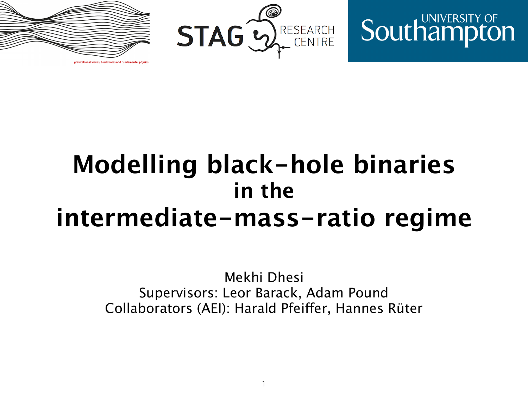

**Southampton** 



# **Modelling black-hole binaries in the intermediate-mass-ratio regime**

Mekhi Dhesi Supervisors: Leor Barack, Adam Pound Collaborators (AEI): Harald Pfeifer, Hannes Rüter

1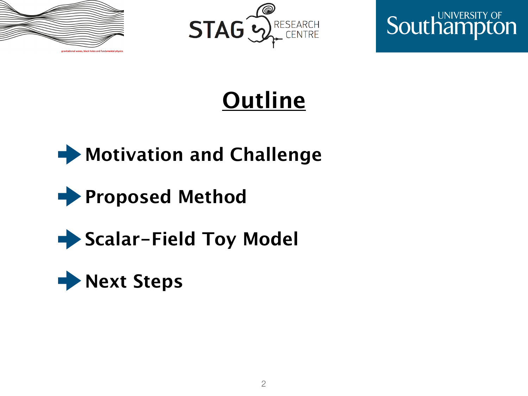





# **Outline**



### **Proposed Method**

### **Scalar-Field Toy Model**

### **Next Steps**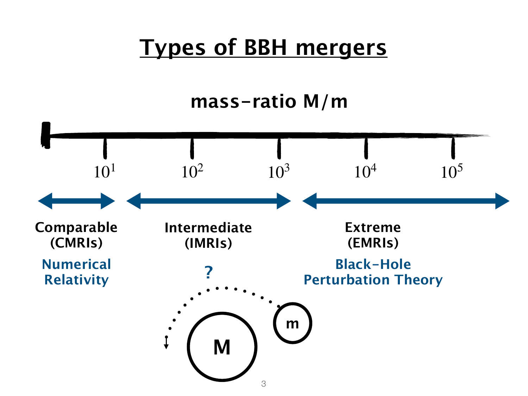### **Types of BBH mergers**

**mass-ratio M/m**

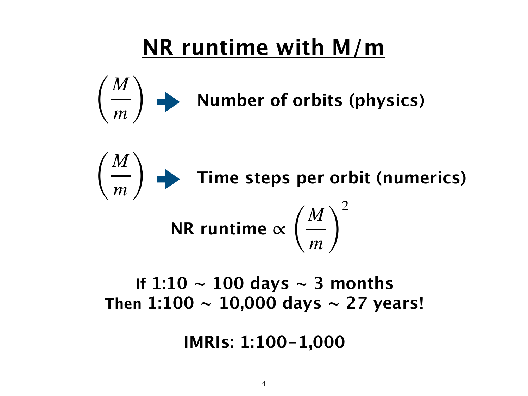## **NR runtime with M/m**



**NR runtime** <sup>∝</sup> ( *M m* ) 2 **Time steps per orbit (numerics)**  $\sqrt{2}$ *M m* )

#### **If 1:10**  $\sim$  **100 days**  $\sim$  **3 months** Then  $1:100 \sim 10,000$  days  $\sim 27$  years!

**IMRIs: 1:100-1,000**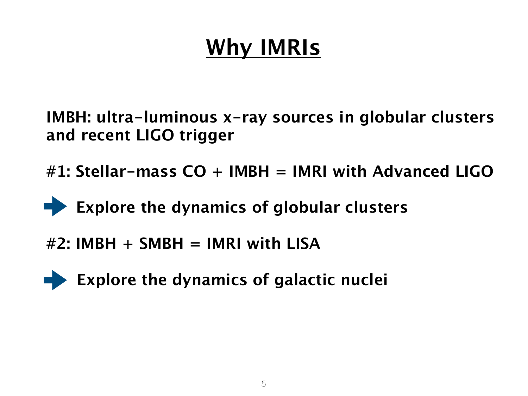# **Why IMRIs**

**IMBH: ultra-luminous x-ray sources in globular clusters and recent LIGO trigger**

**#1: Stellar-mass CO + IMBH = IMRI with Advanced LIGO**

**Explore the dynamics of globular clusters** 

**#2: IMBH + SMBH = IMRI with LISA**



 **Explore the dynamics of galactic nuclei**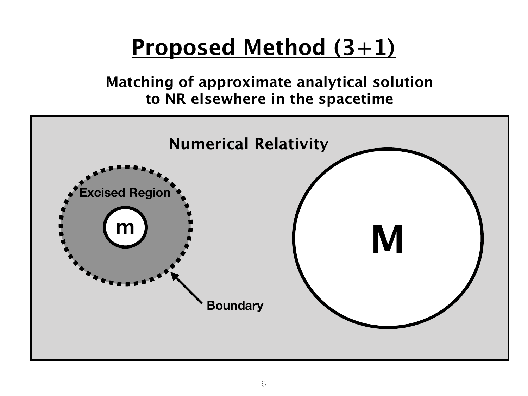## **Proposed Method (3+1)**

**Matching of approximate analytical solution to NR elsewhere in the spacetime**

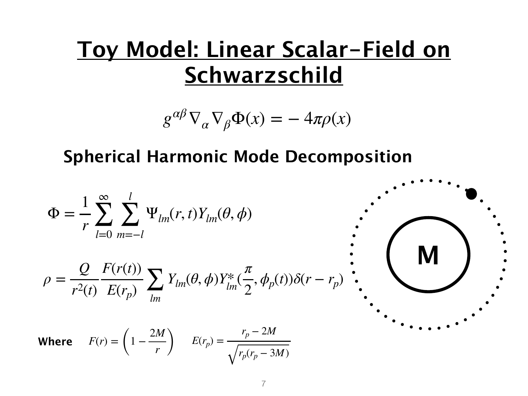### **Toy Model: Linear Scalar-Field on Schwarzschild**

$$
g^{\alpha\beta}\nabla_{\alpha}\nabla_{\beta}\Phi(x) = -4\pi\rho(x)
$$

#### **Spherical Harmonic Mode Decomposition**

$$
\Phi = \frac{1}{r} \sum_{l=0}^{\infty} \sum_{m=-l}^{l} \Psi_{lm}(r, t) Y_{lm}(\theta, \phi)
$$

$$
\rho = \frac{Q}{r^2(t)} \frac{F(r(t))}{E(r_p)} \sum_{lm} Y_{lm}(\theta, \phi) Y_{lm}^* (\frac{\pi}{2}, \phi_p(t)) \delta(r - r_p)
$$

**Where**  $F(r) = \left(1 - \frac{2M}{r}\right)$   $E(r_p) =$ *rp* − 2*M*  $r_p(r_p - 3M)$ 

**M**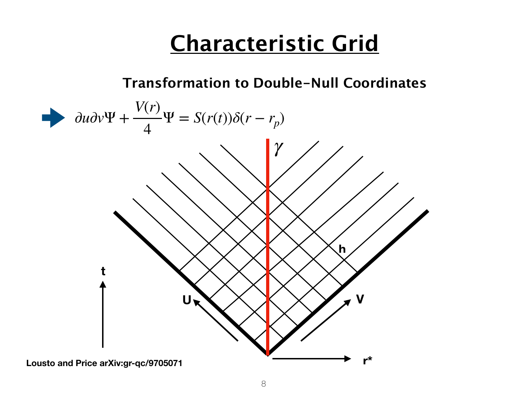## **Characteristic Grid**

#### **Transformation to Double-Null Coordinates**

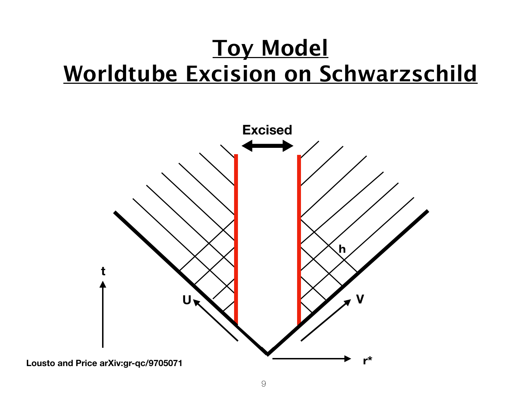## **Toy Model Worldtube Excision on Schwarzschild**

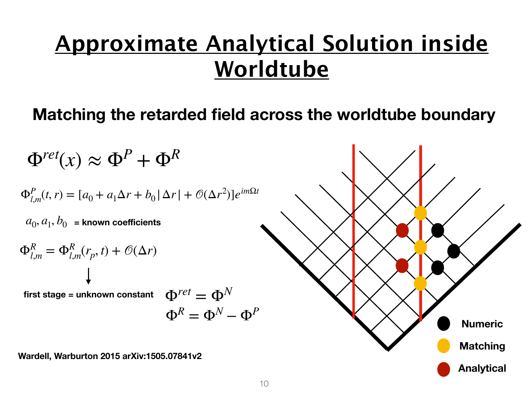## **Approximate Analytical Solution inside Worldtube**

#### **Matching the retarded field across the worldtube boundary**

 $\Phi^{ret}(x) \approx \Phi^P + \Phi^R$  $\Phi_{l,m}^P(t,r) = [a_0 + a_1 \Delta r + b_0 |\Delta r| + \mathcal{O}(\Delta r^2)]e^{im\Omega t}$  $Φ<sup>R</sup> = Φ<sup>N</sup> - Φ<sup>P</sup>$  $\Phi_{l,m}^R = \Phi_{l,m}^R(r_p, t) + \mathcal{O}(\Delta r)$ **first stage = unknown constant**   $a_0, a_1, b_0$  = known coefficients  $\Phi^{ret} = \Phi^N$ 

**Wardell, Warburton 2015 arXiv:1505.07841v2**

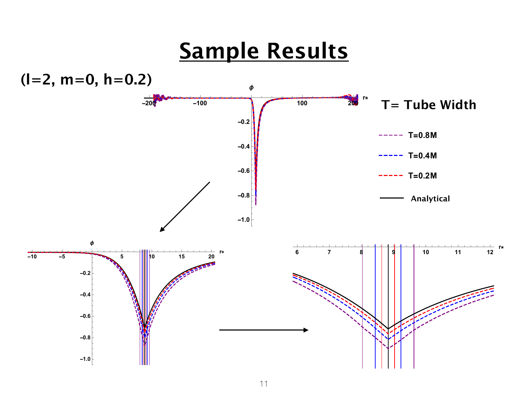### **Sample Results**

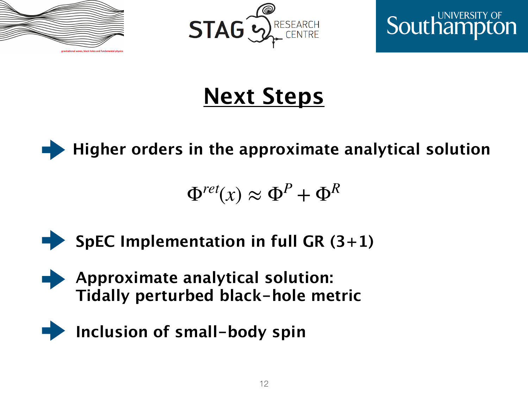





## **Next Steps**



$$
\Phi^{ret}(x) \approx \Phi^P + \Phi^R
$$



- **Approximate analytical solution: Tidally perturbed black-hole metric**
- **Inclusion of small-body spin**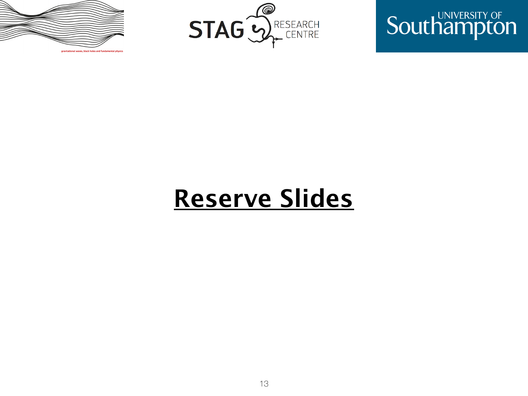





# **Reserve Slides**